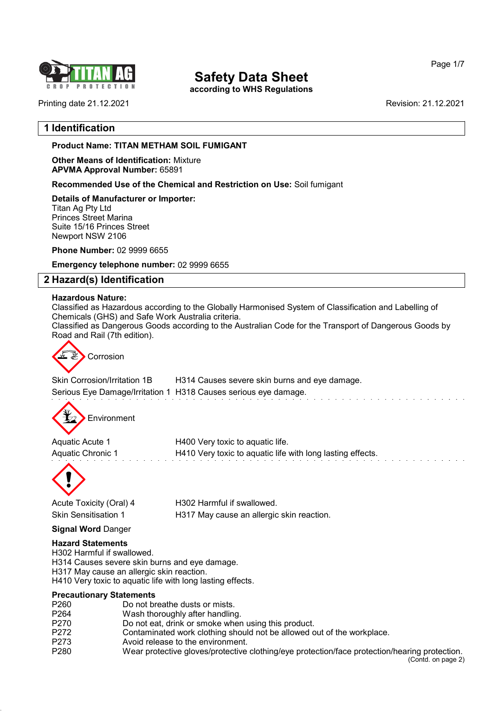

according to WHS Regulations

Printing date 21.12.2021 Revision: 21.12.2021

Page 1/7

# 1 Identification

### Product Name: TITAN METHAM SOIL FUMIGANT

Other Means of Identification: Mixture APVMA Approval Number: 65891

Recommended Use of the Chemical and Restriction on Use: Soil fumigant

Details of Manufacturer or Importer: Titan Ag Pty Ltd Princes Street Marina Suite 15/16 Princes Street Newport NSW 2106

Phone Number: 02 9999 6655

Emergency telephone number: 02 9999 6655

# 2 Hazard(s) Identification

#### Hazardous Nature:

Classified as Hazardous according to the Globally Harmonised System of Classification and Labelling of Chemicals (GHS) and Safe Work Australia criteria.

Classified as Dangerous Goods according to the Australian Code for the Transport of Dangerous Goods by Road and Rail (7th edition).



Skin Corrosion/Irritation 1B H314 Causes severe skin burns and eye damage.

Serious Eye Damage/Irritation 1 H318 Causes serious eye damage.



Aquatic Acute 1 **H400** Very toxic to aquatic life. Aquatic Chronic 1 H410 Very toxic to aquatic life with long lasting effects.



54.0

Acute Toxicity (Oral) 4 H302 Harmful if swallowed. Skin Sensitisation 1 H317 May cause an allergic skin reaction.

# Signal Word Danger

#### Hazard Statements

H302 Harmful if swallowed.

H314 Causes severe skin burns and eye damage.

H317 May cause an allergic skin reaction.

H410 Very toxic to aquatic life with long lasting effects.

#### Precautionary Statements

| P260 | Do not breathe dusts or mists.                                                                |
|------|-----------------------------------------------------------------------------------------------|
| P264 | Wash thoroughly after handling.                                                               |
| P270 | Do not eat, drink or smoke when using this product.                                           |
| P272 | Contaminated work clothing should not be allowed out of the workplace.                        |
| P273 | Avoid release to the environment.                                                             |
| P280 | Wear protective gloves/protective clothing/eye protection/face protection/hearing protection. |
|      |                                                                                               |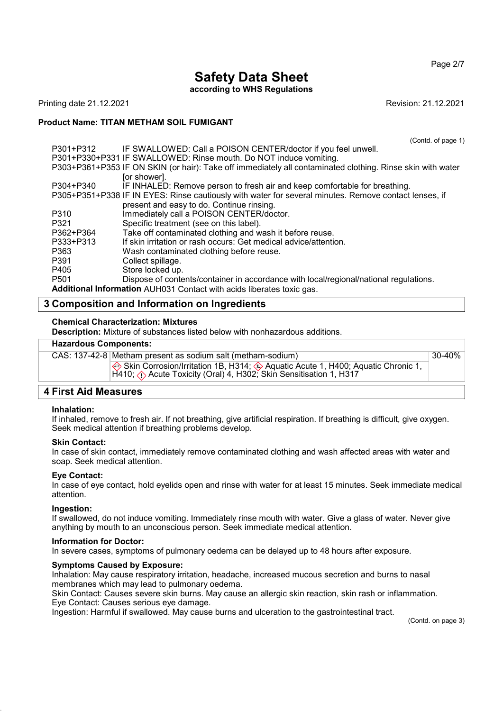Page 2/7

# Safety Data Sheet

# according to WHS Regulations

Printing date 21.12.2021 Revision: 21.12.2021

### Product Name: TITAN METHAM SOIL FUMIGANT

(Contd. of page 1)

30-40%

|                                                                       | P301+P312 IF SWALLOWED: Call a POISON CENTER/GOCTOF IT VOU TEEL UNIVELY.                                   |  |  |  |
|-----------------------------------------------------------------------|------------------------------------------------------------------------------------------------------------|--|--|--|
|                                                                       | P301+P330+P331 IF SWALLOWED: Rinse mouth. Do NOT induce vomiting.                                          |  |  |  |
|                                                                       | P303+P361+P353 IF ON SKIN (or hair): Take off immediately all contaminated clothing. Rinse skin with water |  |  |  |
|                                                                       | for shower1.                                                                                               |  |  |  |
| P304+P340                                                             | IF INHALED: Remove person to fresh air and keep comfortable for breathing.                                 |  |  |  |
|                                                                       | P305+P351+P338 IF IN EYES: Rinse cautiously with water for several minutes. Remove contact lenses, if      |  |  |  |
|                                                                       | present and easy to do. Continue rinsing.                                                                  |  |  |  |
| P310                                                                  | Immediately call a POISON CENTER/doctor.                                                                   |  |  |  |
| P321                                                                  | Specific treatment (see on this label).                                                                    |  |  |  |
| P362+P364                                                             | Take off contaminated clothing and wash it before reuse.                                                   |  |  |  |
| P333+P313                                                             | If skin irritation or rash occurs: Get medical advice/attention.                                           |  |  |  |
| P363                                                                  | Wash contaminated clothing before reuse.                                                                   |  |  |  |
| P391                                                                  | Collect spillage.                                                                                          |  |  |  |
| P405                                                                  | Store locked up.                                                                                           |  |  |  |
| P <sub>501</sub>                                                      | Dispose of contents/container in accordance with local/regional/national regulations.                      |  |  |  |
| Additional Information ALIH021 Contact with poids liberates toxic gas |                                                                                                            |  |  |  |

#### Additional Information AUH031 Contact with acids liberates toxic gas.

 $P_{2}$ 

# 3 Composition and Information on Ingredients

#### Chemical Characterization: Mixtures

Description: Mixture of substances listed below with nonhazardous additions.

#### Hazardous Components:

CAS: 137-42-8 Metham present as sodium salt (metham-sodium)

 $\hat{\diamond}$  Skin Corrosion/Irritation 1B, H314;  $\hat{\diamond}$  Aquatic Acute 1, H400; Aquatic Chronic 1, H410;  $\langle \cdot \rangle$  Acute Toxicity (Oral) 4, H302; Skin Sensitisation 1, H317

# 4 First Aid Measures

#### Inhalation:

If inhaled, remove to fresh air. If not breathing, give artificial respiration. If breathing is difficult, give oxygen. Seek medical attention if breathing problems develop.

#### Skin Contact:

In case of skin contact, immediately remove contaminated clothing and wash affected areas with water and soap. Seek medical attention.

#### Eye Contact:

In case of eye contact, hold eyelids open and rinse with water for at least 15 minutes. Seek immediate medical attention.

#### Ingestion:

54.0

If swallowed, do not induce vomiting. Immediately rinse mouth with water. Give a glass of water. Never give anything by mouth to an unconscious person. Seek immediate medical attention.

#### Information for Doctor:

In severe cases, symptoms of pulmonary oedema can be delayed up to 48 hours after exposure.

#### Symptoms Caused by Exposure:

Inhalation: May cause respiratory irritation, headache, increased mucous secretion and burns to nasal membranes which may lead to pulmonary oedema.

Skin Contact: Causes severe skin burns. May cause an allergic skin reaction, skin rash or inflammation. Eye Contact: Causes serious eye damage.

Ingestion: Harmful if swallowed. May cause burns and ulceration to the gastrointestinal tract.

(Contd. on page 3)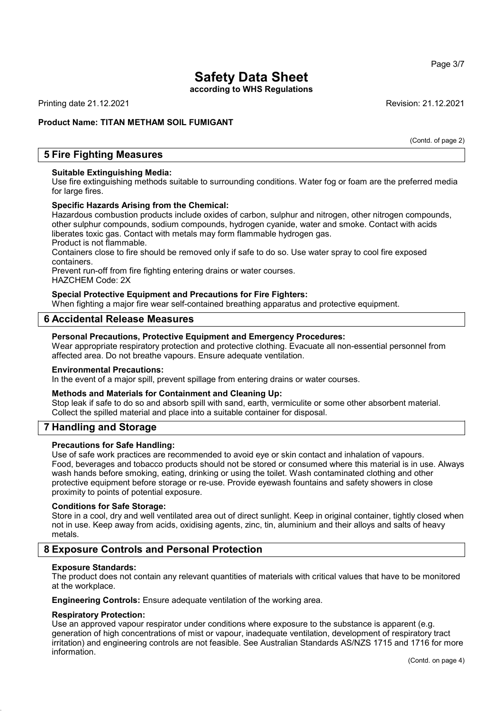#### Page 3/7

# Safety Data Sheet

according to WHS Regulations

Printing date 21.12.2021 Revision: 21.12.2021

# Product Name: TITAN METHAM SOIL FUMIGANT

(Contd. of page 2)

# 5 Fire Fighting Measures

#### Suitable Extinguishing Media:

Use fire extinguishing methods suitable to surrounding conditions. Water fog or foam are the preferred media for large fires.

#### Specific Hazards Arising from the Chemical:

Hazardous combustion products include oxides of carbon, sulphur and nitrogen, other nitrogen compounds, other sulphur compounds, sodium compounds, hydrogen cyanide, water and smoke. Contact with acids liberates toxic gas. Contact with metals may form flammable hydrogen gas.

Product is not flammable.

Containers close to fire should be removed only if safe to do so. Use water spray to cool fire exposed containers.

Prevent run-off from fire fighting entering drains or water courses.

HAZCHEM Code: 2X

#### Special Protective Equipment and Precautions for Fire Fighters:

When fighting a major fire wear self-contained breathing apparatus and protective equipment.

# 6 Accidental Release Measures

#### Personal Precautions, Protective Equipment and Emergency Procedures:

Wear appropriate respiratory protection and protective clothing. Evacuate all non-essential personnel from affected area. Do not breathe vapours. Ensure adequate ventilation.

#### Environmental Precautions:

In the event of a major spill, prevent spillage from entering drains or water courses.

#### Methods and Materials for Containment and Cleaning Up:

Stop leak if safe to do so and absorb spill with sand, earth, vermiculite or some other absorbent material. Collect the spilled material and place into a suitable container for disposal.

# 7 Handling and Storage

#### Precautions for Safe Handling:

Use of safe work practices are recommended to avoid eye or skin contact and inhalation of vapours. Food, beverages and tobacco products should not be stored or consumed where this material is in use. Always wash hands before smoking, eating, drinking or using the toilet. Wash contaminated clothing and other protective equipment before storage or re-use. Provide eyewash fountains and safety showers in close proximity to points of potential exposure.

#### Conditions for Safe Storage:

Store in a cool, dry and well ventilated area out of direct sunlight. Keep in original container, tightly closed when not in use. Keep away from acids, oxidising agents, zinc, tin, aluminium and their alloys and salts of heavy metals.

# 8 Exposure Controls and Personal Protection

#### Exposure Standards:

The product does not contain any relevant quantities of materials with critical values that have to be monitored at the workplace.

Engineering Controls: Ensure adequate ventilation of the working area.

#### Respiratory Protection:

54.0

Use an approved vapour respirator under conditions where exposure to the substance is apparent (e.g. generation of high concentrations of mist or vapour, inadequate ventilation, development of respiratory tract irritation) and engineering controls are not feasible. See Australian Standards AS/NZS 1715 and 1716 for more information.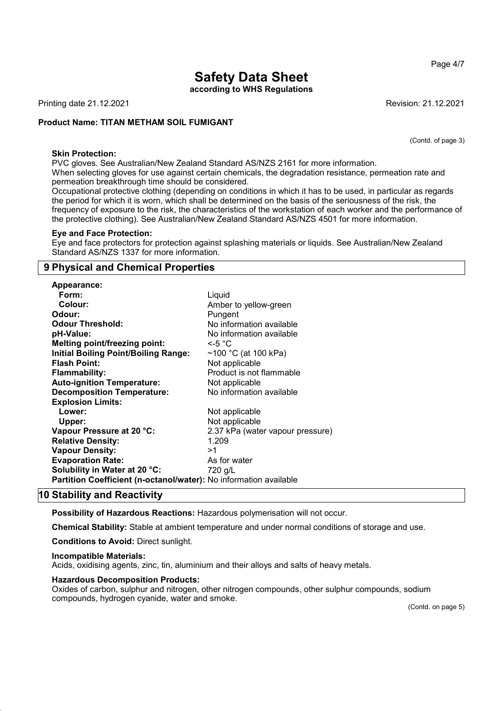according to WHS Regulations

Printing date 21.12.2021 Revision: 21.12.2021

#### Product Name: TITAN METHAM SOIL FUMIGANT

(Contd. of page 3)

Page 4/7

#### Skin Protection:

PVC gloves. See Australian/New Zealand Standard AS/NZS 2161 for more information.

When selecting gloves for use against certain chemicals, the degradation resistance, permeation rate and permeation breakthrough time should be considered.

Occupational protective clothing (depending on conditions in which it has to be used, in particular as regards the period for which it is worn, which shall be determined on the basis of the seriousness of the risk, the frequency of exposure to the risk, the characteristics of the workstation of each worker and the performance of the protective clothing). See Australian/New Zealand Standard AS/NZS 4501 for more information.

#### Eye and Face Protection:

Eye and face protectors for protection against splashing materials or liquids. See Australian/New Zealand Standard AS/NZS 1337 for more information.

# 9 Physical and Chemical Properties

Appearance: Form: Liquid **Colour:** Colour: Amber to yellow-green Odour: Pungent **Odour Threshold:** No information available pH-Value:  $N$ o information available Melting point/freezing point: <-5 °C Initial Boiling Point/Boiling Range: ~100 °C (at 100 kPa) **Flash Point:** Not applicable Flammability: Product is not flammable<br>
Auto-ignition Temperature: Not applicable Auto-ignition Temperature:<br>
Decomposition Temperature: No information available Decomposition Temperature: Explosion Limits: Lower:<br>
Upper:<br>
Upper:<br>
Not applicable Not applicable Vapour Pressure at 20 °C: 2.37 kPa (water vapour pressure) Relative Density: 1.209 Vapour Density:  $>1$ **Evaporation Rate:** As for water Solubility in Water at 20 °C: 720 g/L Partition Coefficient (n-octanol/water): No information available

# 10 Stability and Reactivity

Possibility of Hazardous Reactions: Hazardous polymerisation will not occur.

Chemical Stability: Stable at ambient temperature and under normal conditions of storage and use.

Conditions to Avoid: Direct sunlight.

#### Incompatible Materials:

54.0

Acids, oxidising agents, zinc, tin, aluminium and their alloys and salts of heavy metals.

#### Hazardous Decomposition Products:

Oxides of carbon, sulphur and nitrogen, other nitrogen compounds, other sulphur compounds, sodium compounds, hydrogen cyanide, water and smoke.

(Contd. on page 5)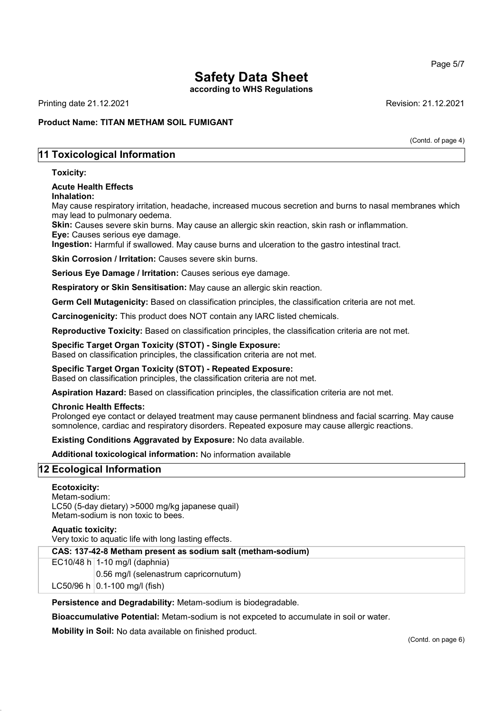according to WHS Regulations

Printing date 21.12.2021 Revision: 21.12.2021

# Product Name: TITAN METHAM SOIL FUMIGANT

(Contd. of page 4)

# 11 Toxicological Information

#### Toxicity:

#### Acute Health Effects

Inhalation:

May cause respiratory irritation, headache, increased mucous secretion and burns to nasal membranes which may lead to pulmonary oedema.

Skin: Causes severe skin burns. May cause an allergic skin reaction, skin rash or inflammation. Eye: Causes serious eye damage.

Ingestion: Harmful if swallowed. May cause burns and ulceration to the gastro intestinal tract.

Skin Corrosion / Irritation: Causes severe skin burns.

Serious Eye Damage / Irritation: Causes serious eve damage.

Respiratory or Skin Sensitisation: May cause an allergic skin reaction.

Germ Cell Mutagenicity: Based on classification principles, the classification criteria are not met.

Carcinogenicity: This product does NOT contain any IARC listed chemicals.

Reproductive Toxicity: Based on classification principles, the classification criteria are not met.

Specific Target Organ Toxicity (STOT) - Single Exposure:

Based on classification principles, the classification criteria are not met.

#### Specific Target Organ Toxicity (STOT) - Repeated Exposure:

Based on classification principles, the classification criteria are not met.

Aspiration Hazard: Based on classification principles, the classification criteria are not met.

#### Chronic Health Effects:

Prolonged eye contact or delayed treatment may cause permanent blindness and facial scarring. May cause somnolence, cardiac and respiratory disorders. Repeated exposure may cause allergic reactions.

Existing Conditions Aggravated by Exposure: No data available.

Additional toxicological information: No information available

# 12 Ecological Information

#### Ecotoxicity:

54.0

Metam-sodium: LC50 (5-day dietary) >5000 mg/kg japanese quail) Metam-sodium is non toxic to bees.

#### Aquatic toxicity:

Very toxic to aquatic life with long lasting effects.

CAS: 137-42-8 Metham present as sodium salt (metham-sodium)

EC10/48 h 1-10 mg/l (daphnia) 0.56 mg/l (selenastrum capricornutum)

LC50/96 h  $|0.1-100$  mg/l (fish)

Persistence and Degradability: Metam-sodium is biodegradable.

Bioaccumulative Potential: Metam-sodium is not expceted to accumulate in soil or water.

Mobility in Soil: No data available on finished product.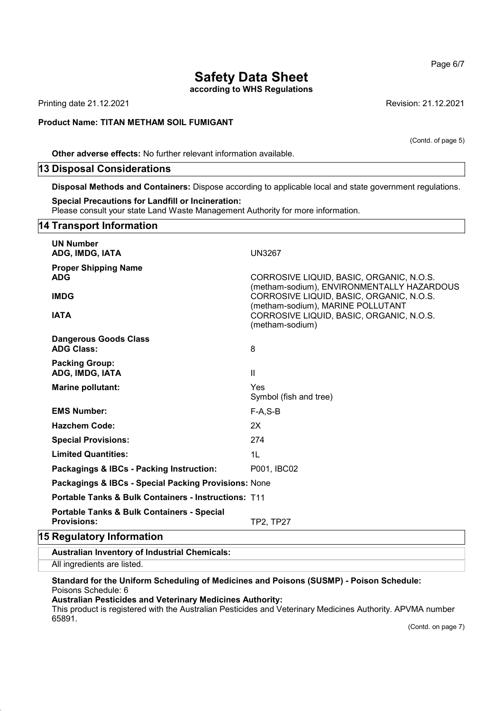according to WHS Regulations

Printing date 21.12.2021 Revision: 21.12.2021

# Product Name: TITAN METHAM SOIL FUMIGANT

(Contd. of page 5)

Other adverse effects: No further relevant information available.

### 13 Disposal Considerations

Disposal Methods and Containers: Dispose according to applicable local and state government regulations.

#### Special Precautions for Landfill or Incineration:

Please consult your state Land Waste Management Authority for more information.

|                           | <b>14 Transport Information</b>                                             |                                                                                                                             |  |  |
|---------------------------|-----------------------------------------------------------------------------|-----------------------------------------------------------------------------------------------------------------------------|--|--|
|                           | <b>UN Number</b><br>ADG, IMDG, IATA                                         | <b>UN3267</b>                                                                                                               |  |  |
|                           | <b>Proper Shipping Name</b><br><b>ADG</b>                                   | CORROSIVE LIQUID, BASIC, ORGANIC, N.O.S.                                                                                    |  |  |
|                           | <b>IMDG</b>                                                                 | (metham-sodium), ENVIRONMENTALLY HAZARDOUS<br>CORROSIVE LIQUID, BASIC, ORGANIC, N.O.S.<br>(metham-sodium), MARINE POLLUTANT |  |  |
|                           | <b>IATA</b>                                                                 | CORROSIVE LIQUID, BASIC, ORGANIC, N.O.S.<br>(metham-sodium)                                                                 |  |  |
|                           | <b>Dangerous Goods Class</b><br><b>ADG Class:</b>                           | 8                                                                                                                           |  |  |
|                           | <b>Packing Group:</b><br>ADG, IMDG, IATA                                    | $\mathbf{II}$                                                                                                               |  |  |
|                           | Marine pollutant:                                                           | <b>Yes</b><br>Symbol (fish and tree)                                                                                        |  |  |
|                           | <b>EMS Number:</b>                                                          | $F-A, S-B$                                                                                                                  |  |  |
|                           | <b>Hazchem Code:</b>                                                        | 2X                                                                                                                          |  |  |
|                           | <b>Special Provisions:</b>                                                  | 274                                                                                                                         |  |  |
|                           | <b>Limited Quantities:</b>                                                  | 1L                                                                                                                          |  |  |
|                           | Packagings & IBCs - Packing Instruction:                                    | P001, IBC02                                                                                                                 |  |  |
|                           | Packagings & IBCs - Special Packing Provisions: None                        |                                                                                                                             |  |  |
|                           | <b>Portable Tanks &amp; Bulk Containers - Instructions: T11</b>             |                                                                                                                             |  |  |
|                           | <b>Portable Tanks &amp; Bulk Containers - Special</b><br><b>Provisions:</b> | TP2, TP27                                                                                                                   |  |  |
| 15 Regulatory Information |                                                                             |                                                                                                                             |  |  |
|                           | <b>Australian Inventory of Industrial Chemicals:</b>                        |                                                                                                                             |  |  |

# All ingredients are listed. Standard for the Uniform Scheduling of Medicines and Poisons (SUSMP) - Poison Schedule:

Poisons Schedule: 6

54.0

### Australian Pesticides and Veterinary Medicines Authority:

This product is registered with the Australian Pesticides and Veterinary Medicines Authority. APVMA number 65891.

(Contd. on page 7)

Page 6/7